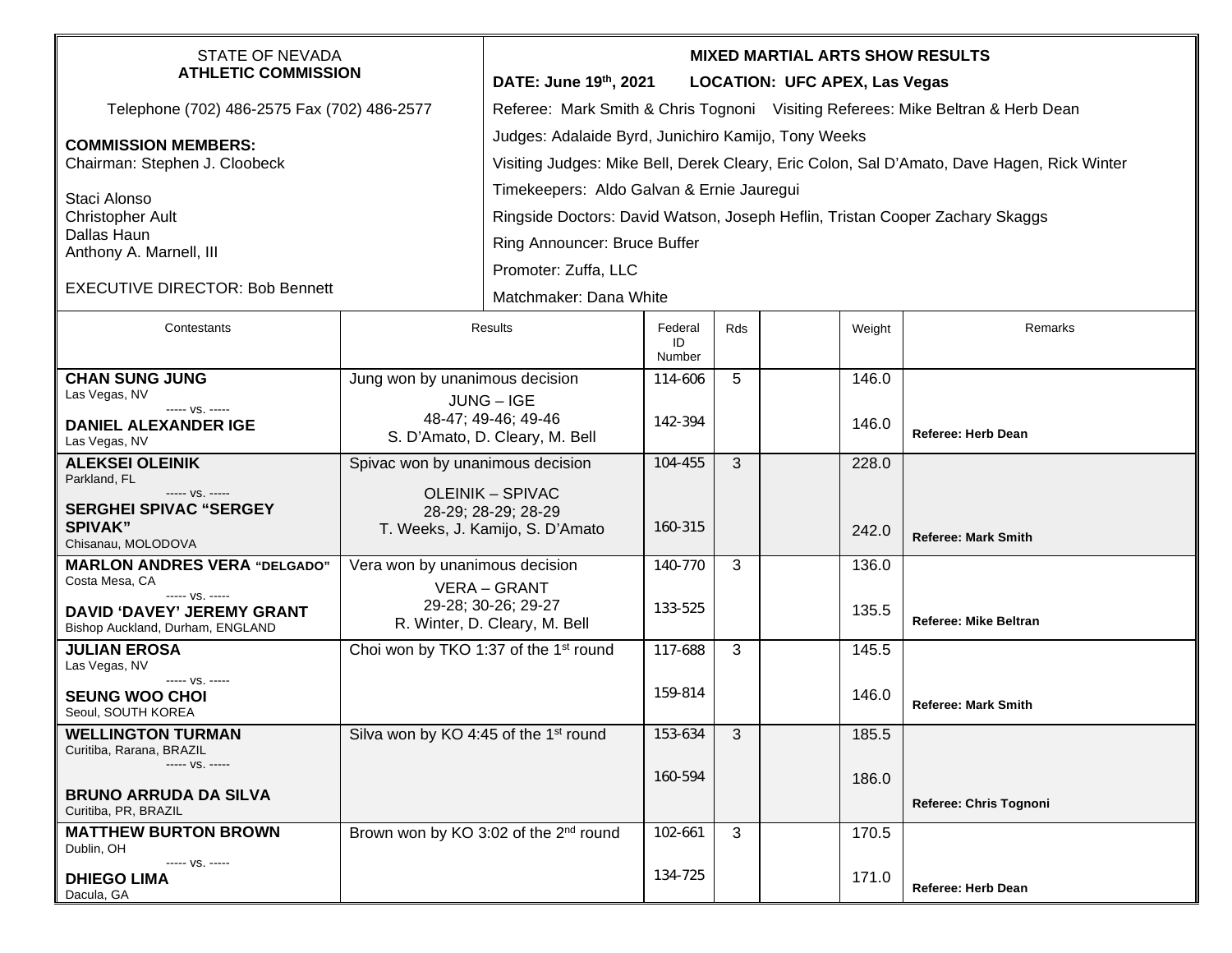| <b>STATE OF NEVADA</b><br><b>ATHLETIC COMMISSION</b>        |                                                        | <b>MIXED MARTIAL ARTS SHOW RESULTS</b><br>DATE: June 19th, 2021<br><b>LOCATION: UFC APEX, Las Vegas</b> |                         |                         |  |        |                              |  |  |
|-------------------------------------------------------------|--------------------------------------------------------|---------------------------------------------------------------------------------------------------------|-------------------------|-------------------------|--|--------|------------------------------|--|--|
| Telephone (702) 486-2575 Fax (702) 486-2577                 |                                                        | Referee: Mark Smith & Chris Tognoni Visiting Referees: Mike Beltran & Herb Dean                         |                         |                         |  |        |                              |  |  |
| <b>COMMISSION MEMBERS:</b><br>Chairman: Stephen J. Cloobeck |                                                        | Judges: Adalaide Byrd, Junichiro Kamijo, Tony Weeks                                                     |                         |                         |  |        |                              |  |  |
|                                                             |                                                        | Visiting Judges: Mike Bell, Derek Cleary, Eric Colon, Sal D'Amato, Dave Hagen, Rick Winter              |                         |                         |  |        |                              |  |  |
| Staci Alonso                                                |                                                        | Timekeepers: Aldo Galvan & Ernie Jauregui                                                               |                         |                         |  |        |                              |  |  |
| <b>Christopher Ault</b>                                     |                                                        | Ringside Doctors: David Watson, Joseph Heflin, Tristan Cooper Zachary Skaggs                            |                         |                         |  |        |                              |  |  |
| Dallas Haun<br>Anthony A. Marnell, III                      |                                                        | Ring Announcer: Bruce Buffer                                                                            |                         |                         |  |        |                              |  |  |
|                                                             |                                                        | Promoter: Zuffa, LLC                                                                                    |                         |                         |  |        |                              |  |  |
| <b>EXECUTIVE DIRECTOR: Bob Bennett</b>                      |                                                        | Matchmaker: Dana White                                                                                  |                         |                         |  |        |                              |  |  |
| Contestants                                                 | Results                                                |                                                                                                         | Federal<br>ID<br>Number | Rds                     |  | Weight | Remarks                      |  |  |
| <b>CHAN SUNG JUNG</b>                                       | Jung won by unanimous decision                         |                                                                                                         | 114-606                 | 5                       |  | 146.0  |                              |  |  |
| Las Vegas, NV<br>----- VS. -----                            | JUNG - IGE                                             |                                                                                                         |                         |                         |  |        |                              |  |  |
| <b>DANIEL ALEXANDER IGE</b><br>Las Vegas, NV                | 48-47; 49-46; 49-46<br>S. D'Amato, D. Cleary, M. Bell  |                                                                                                         | 142-394                 |                         |  | 146.0  | <b>Referee: Herb Dean</b>    |  |  |
| <b>ALEKSEI OLEINIK</b><br>Parkland, FL                      | Spivac won by unanimous decision                       |                                                                                                         | 104-455                 | 3                       |  | 228.0  |                              |  |  |
| ----- VS. -----                                             | <b>OLEINIK - SPIVAC</b>                                |                                                                                                         |                         |                         |  |        |                              |  |  |
| <b>SERGHEI SPIVAC "SERGEY</b><br><b>SPIVAK"</b>             | 28-29; 28-29; 28-29<br>T. Weeks, J. Kamijo, S. D'Amato |                                                                                                         | 160-315                 |                         |  | 242.0  |                              |  |  |
| Chisanau, MOLODOVA                                          |                                                        |                                                                                                         |                         |                         |  |        | <b>Referee: Mark Smith</b>   |  |  |
| <b>MARLON ANDRES VERA "DELGADO"</b><br>Costa Mesa, CA       | Vera won by unanimous decision<br>VERA - GRANT         |                                                                                                         | 140-770                 | 3                       |  | 136.0  |                              |  |  |
| ----- VS. -----<br>DAVID 'DAVEY' JEREMY GRANT               | 29-28; 30-26; 29-27                                    |                                                                                                         | 133-525                 |                         |  | 135.5  |                              |  |  |
| Bishop Auckland, Durham, ENGLAND                            | R. Winter, D. Cleary, M. Bell                          |                                                                                                         |                         |                         |  |        | <b>Referee: Mike Beltran</b> |  |  |
| <b>JULIAN EROSA</b><br>Las Vegas, NV                        | Choi won by TKO 1:37 of the 1 <sup>st</sup> round      |                                                                                                         | 117-688                 | 3                       |  | 145.5  |                              |  |  |
| ----- VS. -----<br><b>SEUNG WOO CHOI</b>                    |                                                        |                                                                                                         | 159-814                 |                         |  | 146.0  |                              |  |  |
| Seoul, SOUTH KOREA                                          |                                                        |                                                                                                         |                         |                         |  |        | <b>Referee: Mark Smith</b>   |  |  |
| <b>WELLINGTON TURMAN</b><br>Curitiba, Rarana, BRAZIL        | Silva won by KO 4:45 of the 1 <sup>st</sup> round      |                                                                                                         | 153-634                 | $\overline{\mathbf{3}}$ |  | 185.5  |                              |  |  |
| ----- VS. -----                                             |                                                        |                                                                                                         | 160-594                 |                         |  | 186.0  |                              |  |  |
| <b>BRUNO ARRUDA DA SILVA</b><br>Curitiba, PR, BRAZIL        |                                                        |                                                                                                         |                         |                         |  |        | Referee: Chris Tognoni       |  |  |
| <b>MATTHEW BURTON BROWN</b><br>Dublin, OH                   | Brown won by KO 3:02 of the 2 <sup>nd</sup> round      |                                                                                                         | 102-661                 | 3                       |  | 170.5  |                              |  |  |
| ----- VS. -----<br><b>DHIEGO LIMA</b><br>Dacula, GA         |                                                        |                                                                                                         | 134-725                 |                         |  | 171.0  | Referee: Herb Dean           |  |  |